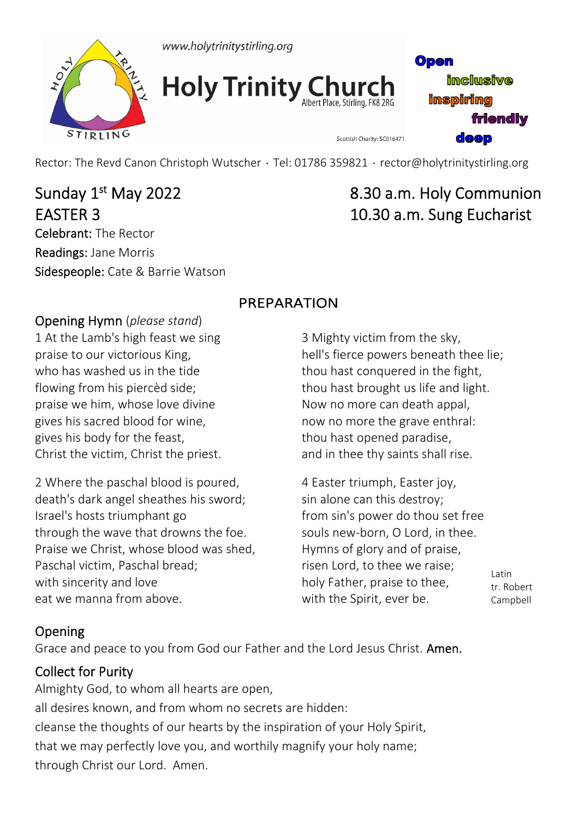



**Holy Trinity Church** 

Open **imclusive inspiring friendly deep** 

Rector: The Revd Canon Christoph Wutscher · Tel: 01786 359821 · rector@holytrinitystirling.org

EASTER 3 10.30 a.m. Sung Eucharist Celebrant: The Rector Readings: Jane Morris Sidespeople: Cate & Barrie Watson

# Sunday 1st May 2022 8.30 a.m. Holy Communion

### Opening Hymn (*please stand*)

1 At the Lamb's high feast we sing praise to our victorious King, who has washed us in the tide flowing from his piercèd side; praise we him, whose love divine gives his sacred blood for wine, gives his body for the feast, Christ the victim, Christ the priest.

2 Where the paschal blood is poured, death's dark angel sheathes his sword; Israel's hosts triumphant go through the wave that drowns the foe. Praise we Christ, whose blood was shed, Paschal victim, Paschal bread; with sincerity and love eat we manna from above.

# PREPARATION

3 Mighty victim from the sky, hell's fierce powers beneath thee lie; thou hast conquered in the fight, thou hast brought us life and light. Now no more can death appal, now no more the grave enthral: thou hast opened paradise, and in thee thy saints shall rise.

Scottish Charity: SC016471

4 Easter triumph, Easter joy, sin alone can this destroy; from sin's power do thou set free souls new‐born, O Lord, in thee. Hymns of glory and of praise, risen Lord, to thee we raise; holy Father, praise to thee, with the Spirit, ever be.

Latin tr. Robert Campbell

# Opening

Grace and peace to you from God our Father and the Lord Jesus Christ. Amen.

# Collect for Purity

Almighty God, to whom all hearts are open, all desires known, and from whom no secrets are hidden: cleanse the thoughts of our hearts by the inspiration of your Holy Spirit, that we may perfectly love you, and worthily magnify your holy name; through Christ our Lord. Amen.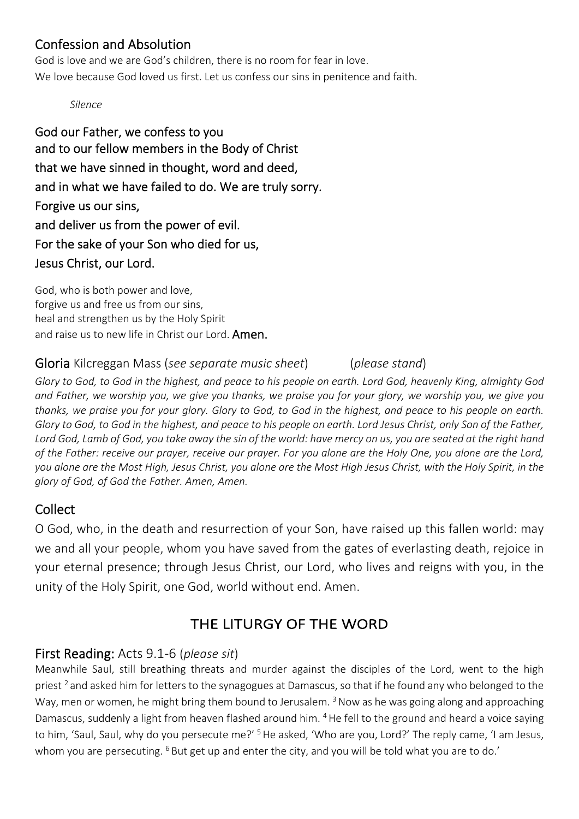### Confession and Absolution

God is love and we are God's children, there is no room for fear in love. We love because God loved us first. Let us confess our sins in penitence and faith.

*Silence*

God our Father, we confess to you and to our fellow members in the Body of Christ that we have sinned in thought, word and deed, and in what we have failed to do. We are truly sorry. Forgive us our sins, and deliver us from the power of evil. For the sake of your Son who died for us, Jesus Christ, our Lord.

God, who is both power and love, forgive us and free us from our sins, heal and strengthen us by the Holy Spirit and raise us to new life in Christ our Lord. Amen.

#### Gloria Kilcreggan Mass (*see separate music sheet*) (*please stand*)

*Glory to God, to God in the highest, and peace to his people on earth. Lord God, heavenly King, almighty God and Father, we worship you, we give you thanks, we praise you for your glory, we worship you, we give you thanks, we praise you for your glory. Glory to God, to God in the highest, and peace to his people on earth. Glory to God, to God in the highest, and peace to his people on earth. Lord Jesus Christ, only Son of the Father, Lord God, Lamb of God, you take away the sin of the world: have mercy on us, you are seated at the right hand of the Father: receive our prayer, receive our prayer. For you alone are the Holy One, you alone are the Lord, you alone are the Most High, Jesus Christ, you alone are the Most High Jesus Christ, with the Holy Spirit, in the glory of God, of God the Father. Amen, Amen.*

### **Collect**

O God, who, in the death and resurrection of your Son, have raised up this fallen world: may we and all your people, whom you have saved from the gates of everlasting death, rejoice in your eternal presence; through Jesus Christ, our Lord, who lives and reigns with you, in the unity of the Holy Spirit, one God, world without end. Amen.

# THE LITURGY OF THE WORD

### First Reading: Acts 9.1‐6 (*please sit*)

Meanwhile Saul, still breathing threats and murder against the disciples of the Lord, went to the high priest 2 and asked him for letters to the synagogues at Damascus, so that if he found any who belonged to the Way, men or women, he might bring them bound to Jerusalem.<sup>3</sup> Now as he was going along and approaching Damascus, suddenly a light from heaven flashed around him. <sup>4</sup> He fell to the ground and heard a voice saying to him, 'Saul, Saul, why do you persecute me?' <sup>5</sup> He asked, 'Who are you, Lord?' The reply came, 'I am Jesus, whom you are persecuting. <sup>6</sup> But get up and enter the city, and you will be told what you are to do.'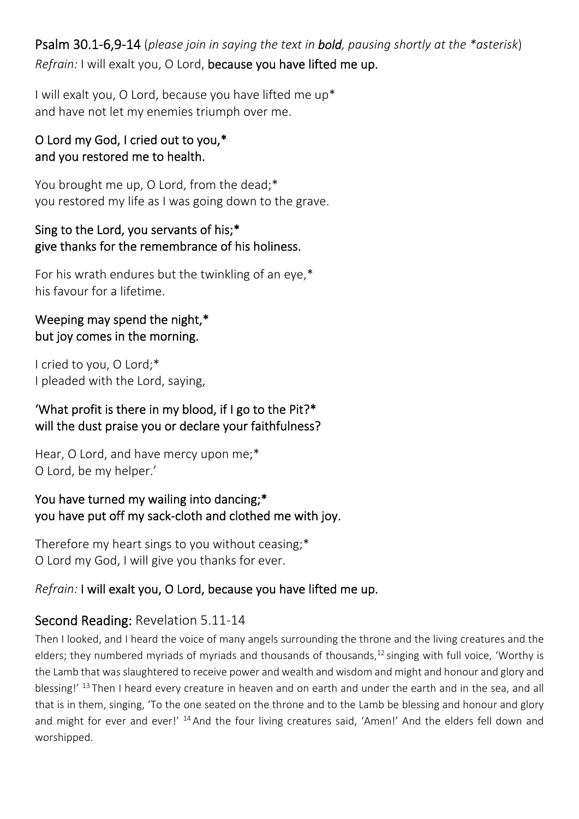Psalm 30.1‐6,9‐14 (*please join in saying the text in bold, pausing shortly at the \*asterisk*) *Refrain:* I will exalt you, O Lord, because you have lifted me up.

I will exalt you, O Lord, because you have lifted me up\* and have not let my enemies triumph over me.

#### O Lord my God, I cried out to you,\* and you restored me to health.

You brought me up, O Lord, from the dead;\* you restored my life as I was going down to the grave.

#### Sing to the Lord, you servants of his;\* give thanks for the remembrance of his holiness.

For his wrath endures but the twinkling of an eye,\* his favour for a lifetime.

#### Weeping may spend the night,\* but joy comes in the morning.

I cried to you, O Lord;\* I pleaded with the Lord, saying,

#### 'What profit is there in my blood, if I go to the Pit?\* will the dust praise you or declare your faithfulness?

Hear, O Lord, and have mercy upon me;\* O Lord, be my helper.'

You have turned my wailing into dancing;\* you have put off my sack‐cloth and clothed me with joy.

Therefore my heart sings to you without ceasing;\* O Lord my God, I will give you thanks for ever.

### *Refrain:* I will exalt you, O Lord, because you have lifted me up.

# Second Reading: Revelation 5.11‐14

Then I looked, and I heard the voice of many angels surrounding the throne and the living creatures and the elders; they numbered myriads of myriads and thousands of thousands, $12$  singing with full voice, 'Worthy is the Lamb that was slaughtered to receive power and wealth and wisdom and might and honour and glory and blessing!' 13 Then I heard every creature in heaven and on earth and under the earth and in the sea, and all that is in them, singing, 'To the one seated on the throne and to the Lamb be blessing and honour and glory and might for ever and ever!' <sup>14</sup> And the four living creatures said, 'Amen!' And the elders fell down and worshipped.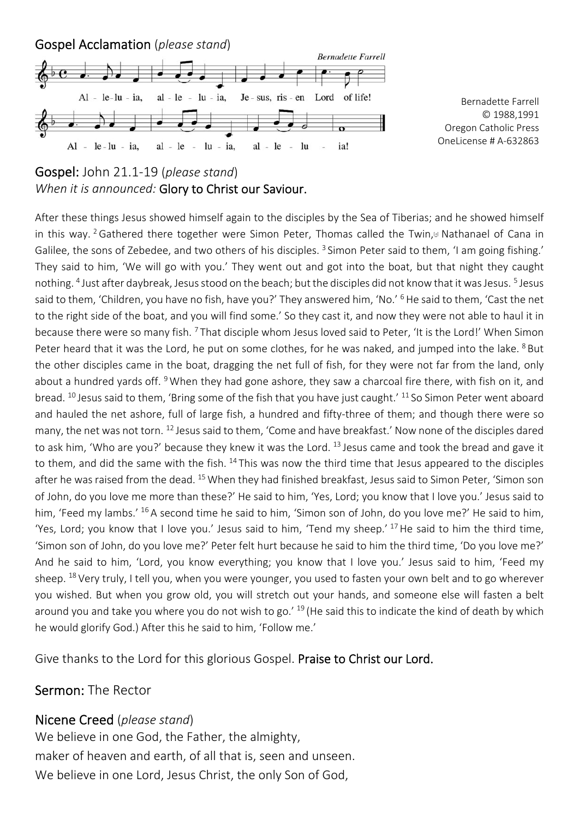

Bernadette Farrell © 1988,1991 Oregon Catholic Press OneLicense # A‐632863

#### Gospel: John 21.1‐19 (*please stand*) *When it is announced:* Glory to Christ our Saviour.

After these things Jesus showed himself again to the disciples by the Sea of Tiberias; and he showed himself in this way. <sup>2</sup> Gathered there together were Simon Peter, Thomas called the Twin,<sup>[9]</sup> Nathanael of Cana in Galilee, the sons of Zebedee, and two others of his disciples.<sup>3</sup> Simon Peter said to them, 'I am going fishing.' They said to him, 'We will go with you.' They went out and got into the boat, but that night they caught nothing. 4 Just after daybreak, Jesus stood on the beach; but the disciples did not know that it was Jesus. 5 Jesus said to them, 'Children, you have no fish, have you?' They answered him, 'No.' 6 He said to them, 'Cast the net to the right side of the boat, and you will find some.' So they cast it, and now they were not able to haul it in because there were so many fish. <sup>7</sup> That disciple whom Jesus loved said to Peter, 'It is the Lord!' When Simon Peter heard that it was the Lord, he put on some clothes, for he was naked, and jumped into the lake. <sup>8</sup> But the other disciples came in the boat, dragging the net full of fish, for they were not far from the land, only about a hundred yards off. <sup>9</sup> When they had gone ashore, they saw a charcoal fire there, with fish on it, and bread. <sup>10</sup> Jesus said to them, 'Bring some of the fish that you have just caught.' <sup>11</sup> So Simon Peter went aboard and hauled the net ashore, full of large fish, a hundred and fifty-three of them; and though there were so many, the net was not torn. 12 Jesus said to them, 'Come and have breakfast.' Now none of the disciples dared to ask him, 'Who are you?' because they knew it was the Lord. <sup>13</sup> Jesus came and took the bread and gave it to them, and did the same with the fish. <sup>14</sup> This was now the third time that Jesus appeared to the disciples after he was raised from the dead. <sup>15</sup> When they had finished breakfast, Jesus said to Simon Peter, 'Simon son of John, do you love me more than these?' He said to him, 'Yes, Lord; you know that I love you.' Jesus said to him, 'Feed my lambs.' <sup>16</sup> A second time he said to him, 'Simon son of John, do you love me?' He said to him, 'Yes, Lord; you know that I love you.' Jesus said to him, 'Tend my sheep.' 17 He said to him the third time, 'Simon son of John, do you love me?' Peter felt hurt because he said to him the third time, 'Do you love me?' And he said to him, 'Lord, you know everything; you know that I love you.' Jesus said to him, 'Feed my sheep. 18 Very truly, I tell you, when you were younger, you used to fasten your own belt and to go wherever you wished. But when you grow old, you will stretch out your hands, and someone else will fasten a belt around you and take you where you do not wish to go.'  $^{19}$  (He said this to indicate the kind of death by which he would glorify God.) After this he said to him, 'Follow me.'

Give thanks to the Lord for this glorious Gospel. Praise to Christ our Lord.

#### Sermon: The Rector

#### Nicene Creed (*please stand*)

We believe in one God, the Father, the almighty, maker of heaven and earth, of all that is, seen and unseen. We believe in one Lord, Jesus Christ, the only Son of God,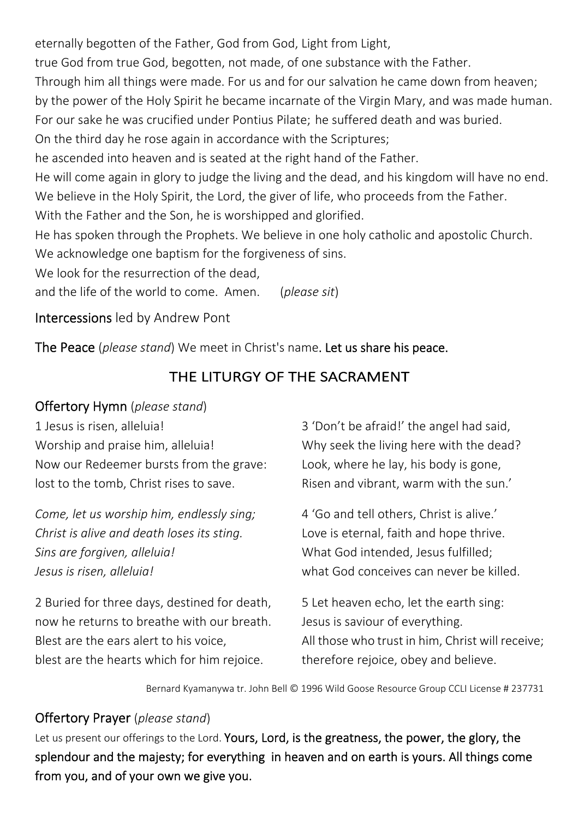eternally begotten of the Father, God from God, Light from Light,

true God from true God, begotten, not made, of one substance with the Father.

Through him all things were made. For us and for our salvation he came down from heaven;

by the power of the Holy Spirit he became incarnate of the Virgin Mary, and was made human.

For our sake he was crucified under Pontius Pilate; he suffered death and was buried.

On the third day he rose again in accordance with the Scriptures;

he ascended into heaven and is seated at the right hand of the Father.

He will come again in glory to judge the living and the dead, and his kingdom will have no end. We believe in the Holy Spirit, the Lord, the giver of life, who proceeds from the Father.

With the Father and the Son, he is worshipped and glorified.

He has spoken through the Prophets. We believe in one holy catholic and apostolic Church. We acknowledge one baptism for the forgiveness of sins.

We look for the resurrection of the dead.

and the life of the world to come. Amen. (*please sit*)

Intercessions led by Andrew Pont

The Peace (*please stand*) We meet in Christ's name.Let us share his peace.

# THE LITURGY OF THE SACRAMENT

## Offertory Hymn (*please stand*)

1 Jesus is risen, alleluia! Worship and praise him, alleluia! Now our Redeemer bursts from the grave: lost to the tomb, Christ rises to save.

*Come, let us worship him, endlessly sing; Christ is alive and death loses its sting. Sins are forgiven, alleluia! Jesus is risen, alleluia!* 

2 Buried for three days, destined for death, now he returns to breathe with our breath. Blest are the ears alert to his voice, blest are the hearts which for him rejoice.

3 'Don't be afraid!' the angel had said, Why seek the living here with the dead? Look, where he lay, his body is gone, Risen and vibrant, warm with the sun.'

4 'Go and tell others, Christ is alive.' Love is eternal, faith and hope thrive. What God intended, Jesus fulfilled; what God conceives can never be killed.

5 Let heaven echo, let the earth sing: Jesus is saviour of everything. All those who trust in him, Christ will receive; therefore rejoice, obey and believe.

Bernard Kyamanywa tr. John Bell © 1996 Wild Goose Resource Group CCLI License # 237731

# Offertory Prayer (*please stand*)

Let us present our offerings to the Lord. Yours, Lord, is the greatness, the power, the glory, the splendour and the majesty; for everything in heaven and on earth is yours. All things come from you, and of your own we give you.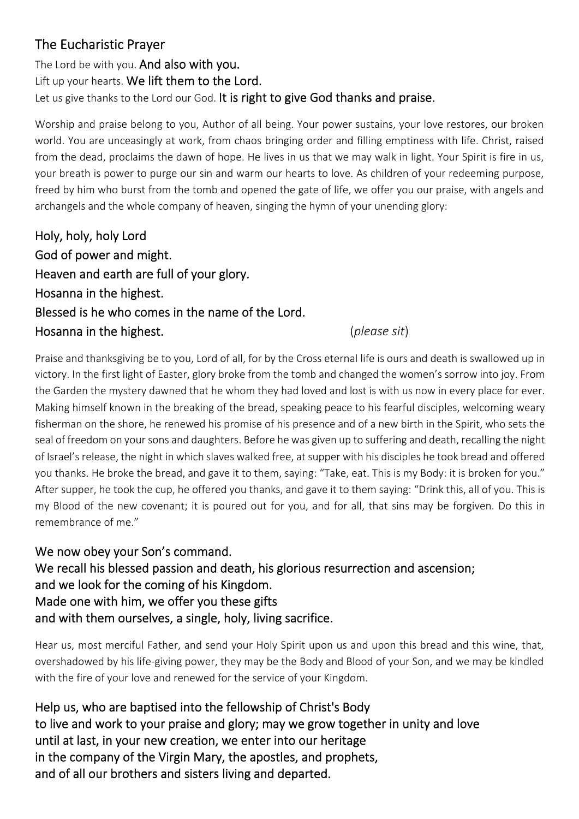# The Eucharistic Prayer

The Lord be with you. And also with you. Lift up your hearts. We lift them to the Lord. Let us give thanks to the Lord our God. It is right to give God thanks and praise.

Worship and praise belong to you, Author of all being. Your power sustains, your love restores, our broken world. You are unceasingly at work, from chaos bringing order and filling emptiness with life. Christ, raised from the dead, proclaims the dawn of hope. He lives in us that we may walk in light. Your Spirit is fire in us, your breath is power to purge our sin and warm our hearts to love. As children of your redeeming purpose, freed by him who burst from the tomb and opened the gate of life, we offer you our praise, with angels and archangels and the whole company of heaven, singing the hymn of your unending glory:

Holy, holy, holy Lord God of power and might. Heaven and earth are full of your glory. Hosanna in the highest. Blessed is he who comes in the name of the Lord. Hosanna in the highest. (*please sit*)

Praise and thanksgiving be to you, Lord of all, for by the Cross eternal life is ours and death is swallowed up in victory. In the first light of Easter, glory broke from the tomb and changed the women's sorrow into joy. From the Garden the mystery dawned that he whom they had loved and lost is with us now in every place for ever. Making himself known in the breaking of the bread, speaking peace to his fearful disciples, welcoming weary fisherman on the shore, he renewed his promise of his presence and of a new birth in the Spirit, who sets the seal of freedom on your sons and daughters. Before he was given up to suffering and death, recalling the night of Israel's release, the night in which slaves walked free, at supper with his disciples he took bread and offered you thanks. He broke the bread, and gave it to them, saying: "Take, eat. This is my Body: it is broken for you." After supper, he took the cup, he offered you thanks, and gave it to them saying: "Drink this, all of you. This is my Blood of the new covenant; it is poured out for you, and for all, that sins may be forgiven. Do this in remembrance of me."

We now obey your Son's command. We recall his blessed passion and death, his glorious resurrection and ascension; and we look for the coming of his Kingdom. Made one with him, we offer you these gifts and with them ourselves, a single, holy, living sacrifice.

Hear us, most merciful Father, and send your Holy Spirit upon us and upon this bread and this wine, that, overshadowed by his life‐giving power, they may be the Body and Blood of your Son, and we may be kindled with the fire of your love and renewed for the service of your Kingdom.

Help us, who are baptised into the fellowship of Christ's Body to live and work to your praise and glory; may we grow together in unity and love until at last, in your new creation, we enter into our heritage in the company of the Virgin Mary, the apostles, and prophets, and of all our brothers and sisters living and departed.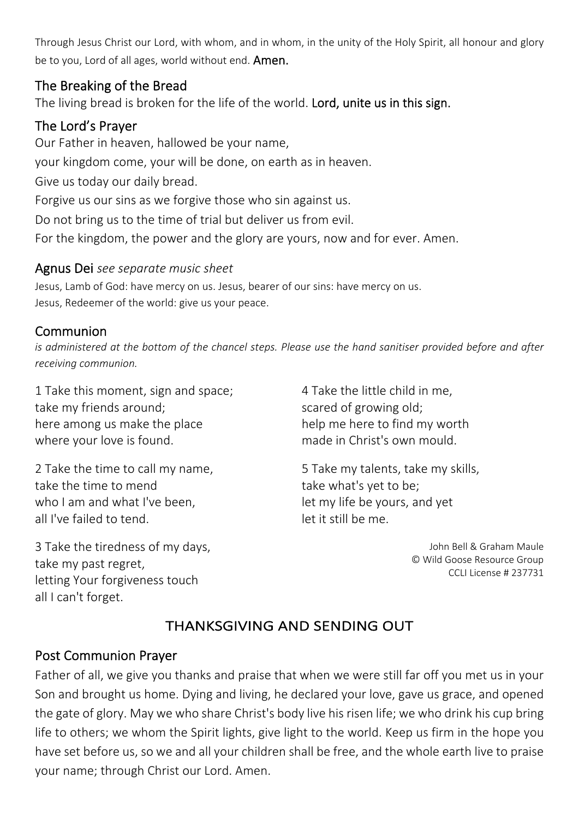Through Jesus Christ our Lord, with whom, and in whom, in the unity of the Holy Spirit, all honour and glory be to you, Lord of all ages, world without end. **Amen.** 

#### The Breaking of the Bread

The living bread is broken for the life of the world. Lord, unite us in this sign.

# The Lord's Prayer

Our Father in heaven, hallowed be your name, your kingdom come, your will be done, on earth as in heaven. Give us today our daily bread. Forgive us our sins as we forgive those who sin against us. Do not bring us to the time of trial but deliver us from evil. For the kingdom, the power and the glory are yours, now and for ever. Amen.

#### Agnus Dei *see separate music sheet*

Jesus, Lamb of God: have mercy on us. Jesus, bearer of our sins: have mercy on us. Jesus, Redeemer of the world: give us your peace.

#### Communion

*is administered at the bottom of the chancel steps. Please use the hand sanitiser provided before and after receiving communion.* 

1 Take this moment, sign and space; take my friends around; here among us make the place where your love is found.

2 Take the time to call my name, take the time to mend who I am and what I've been, all I've failed to tend.

3 Take the tiredness of my days, take my past regret, letting Your forgiveness touch all I can't forget.

4 Take the little child in me, scared of growing old; help me here to find my worth made in Christ's own mould.

5 Take my talents, take my skills, take what's yet to be; let my life be yours, and yet let it still be me.

> John Bell & Graham Maule © Wild Goose Resource Group CCLI License # 237731

# THANKSGIVING AND SENDING OUT

### Post Communion Prayer

Father of all, we give you thanks and praise that when we were still far off you met us in your Son and brought us home. Dying and living, he declared your love, gave us grace, and opened the gate of glory. May we who share Christ's body live his risen life; we who drink his cup bring life to others; we whom the Spirit lights, give light to the world. Keep us firm in the hope you have set before us, so we and all your children shall be free, and the whole earth live to praise your name; through Christ our Lord. Amen.